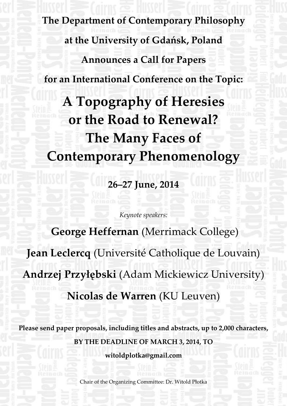**The Department of Contemporary Philosophy at the University of Gdańsk, Poland Announces a Call for Papers for an International Conference on the Topic: A Topography of Heresies or the Road to Renewal? The Many Faces of Contemporary Phenomenology**

**26–27 June, 2014**

*Keynote speakers:*

 **George Heffernan** (Merrimack College) **Jean Leclercq** (Université Catholique de Louvain) **Andrzej Przyłębski** (Adam Mickiewicz University) **Nicolas de Warren** (KU Leuven)

**Please send paper proposals, including titles and abstracts, up to 2,000 characters, BY THE DEADLINE OF MARCH 3, 2014, TO**

**witoldplotka@gmail.com**

Chair of the Organizing Committee: Dr. Witold Płotka